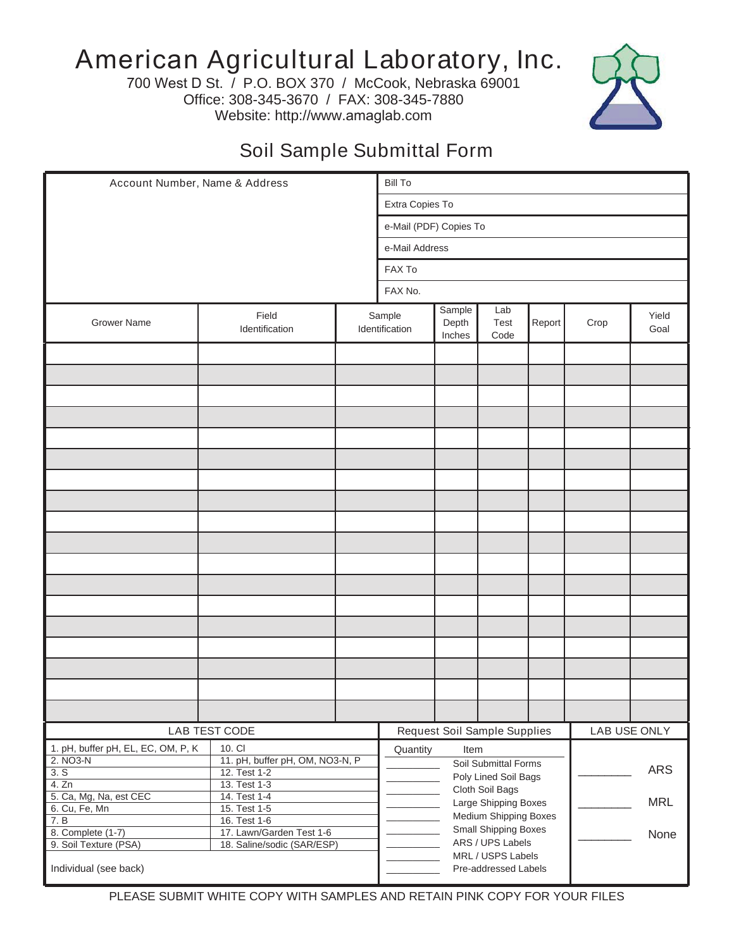## American Agricultural Laboratory, Inc.

700 West D St. / P.O. BOX 370 / McCook, Nebraska 69001 Office: 308-345-3670 / FAX: 308-345-7880 Website: http://www.amaglab.com



## Soil Sample Submittal Form

| Account Number, Name & Address                 |                                                 |                                              | <b>Bill To</b>                               |                           |                                                                                     |        |      |               |
|------------------------------------------------|-------------------------------------------------|----------------------------------------------|----------------------------------------------|---------------------------|-------------------------------------------------------------------------------------|--------|------|---------------|
|                                                |                                                 |                                              | Extra Copies To                              |                           |                                                                                     |        |      |               |
|                                                |                                                 |                                              | e-Mail (PDF) Copies To                       |                           |                                                                                     |        |      |               |
|                                                |                                                 |                                              | e-Mail Address                               |                           |                                                                                     |        |      |               |
|                                                |                                                 |                                              | FAX To                                       |                           |                                                                                     |        |      |               |
|                                                |                                                 |                                              | FAX No.                                      |                           |                                                                                     |        |      |               |
| <b>Grower Name</b>                             | Field<br>Identification                         |                                              | Sample<br>Identification                     | Sample<br>Depth<br>Inches | Lab<br>Test<br>Code                                                                 | Report | Crop | Yield<br>Goal |
|                                                |                                                 |                                              |                                              |                           |                                                                                     |        |      |               |
|                                                |                                                 |                                              |                                              |                           |                                                                                     |        |      |               |
|                                                |                                                 |                                              |                                              |                           |                                                                                     |        |      |               |
|                                                |                                                 |                                              |                                              |                           |                                                                                     |        |      |               |
|                                                |                                                 |                                              |                                              |                           |                                                                                     |        |      |               |
|                                                |                                                 |                                              |                                              |                           |                                                                                     |        |      |               |
|                                                |                                                 |                                              |                                              |                           |                                                                                     |        |      |               |
|                                                |                                                 |                                              |                                              |                           |                                                                                     |        |      |               |
|                                                |                                                 |                                              |                                              |                           |                                                                                     |        |      |               |
|                                                |                                                 |                                              |                                              |                           |                                                                                     |        |      |               |
|                                                |                                                 |                                              |                                              |                           |                                                                                     |        |      |               |
|                                                |                                                 |                                              |                                              |                           |                                                                                     |        |      |               |
|                                                |                                                 |                                              |                                              |                           |                                                                                     |        |      |               |
|                                                |                                                 |                                              |                                              |                           |                                                                                     |        |      |               |
|                                                |                                                 |                                              |                                              |                           |                                                                                     |        |      |               |
|                                                |                                                 |                                              |                                              |                           |                                                                                     |        |      |               |
|                                                |                                                 |                                              |                                              |                           |                                                                                     |        |      |               |
|                                                |                                                 |                                              |                                              |                           |                                                                                     |        |      |               |
| LAB TEST CODE                                  |                                                 | Request Soil Sample Supplies<br>LAB USE ONLY |                                              |                           |                                                                                     |        |      |               |
| 1. pH, buffer pH, EL, EC, OM, P, K<br>2. NO3-N | 10. CI                                          |                                              | Quantity<br>Item                             |                           |                                                                                     |        |      |               |
| 3. S                                           | 11. pH, buffer pH, OM, NO3-N, P<br>12. Test 1-2 |                                              | Soil Submittal Forms<br>Poly Lined Soil Bags |                           |                                                                                     |        |      | ARS           |
| 4. Zn<br>5. Ca, Mg, Na, est CEC                | 13. Test 1-3                                    |                                              |                                              | Cloth Soil Bags           |                                                                                     |        |      |               |
| 6. Cu, Fe, Mn                                  | 14. Test 1-4<br>15. Test 1-5                    |                                              |                                              |                           | <b>MRL</b><br>Large Shipping Boxes<br>Medium Shipping Boxes<br>Small Shipping Boxes |        |      |               |
| 7. B<br>8. Complete (1-7)                      | 16. Test 1-6<br>17. Lawn/Garden Test 1-6        |                                              |                                              |                           |                                                                                     |        |      |               |
| 9. Soil Texture (PSA)                          | 18. Saline/sodic (SAR/ESP)                      |                                              |                                              | ARS / UPS Labels          |                                                                                     |        |      | None          |
| Individual (see back)                          |                                                 |                                              | MRL / USPS Labels<br>Pre-addressed Labels    |                           |                                                                                     |        |      |               |

PLEASE SUBMIT WHITE COPY WITH SAMPLES AND RETAIN PINK COPY FOR YOUR FILES